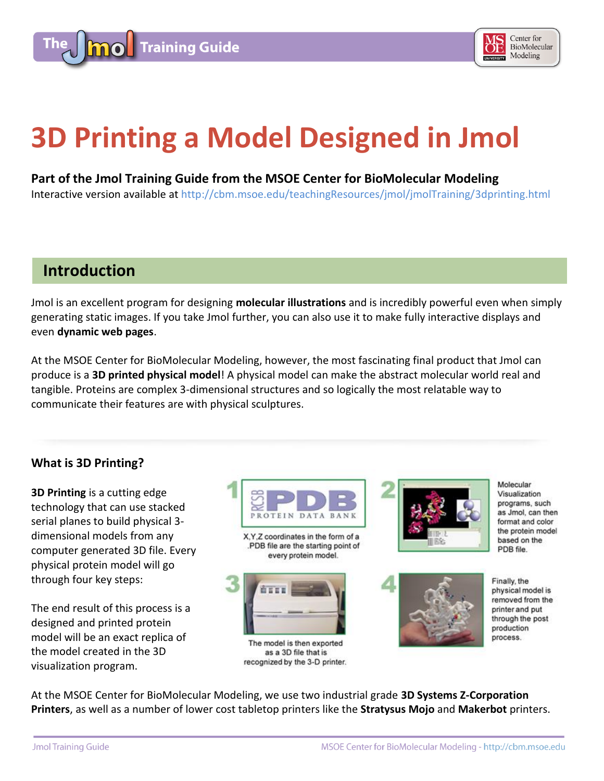

# **3D Printing a Model Designed in Jmol**

# **Part of the Jmol Training Guide from the MSOE Center for BioMolecular Modeling**

Interactive version available at http://cbm.msoe.edu/teachingResources/jmol/jmolTraining/3dprinting.html

# **Introduction**

Jmol is an excellent program for designing **molecular illustrations** and is incredibly powerful even when simply generating static images. If you take Jmol further, you can also use it to make fully interactive displays and even **dynamic web pages**.

At the MSOE Center for BioMolecular Modeling, however, the most fascinating final product that Jmol can produce is a **3D printed physical model**! A physical model can make the abstract molecular world real and tangible. Proteins are complex 3-dimensional structures and so logically the most relatable way to communicate their features are with physical sculptures.

# **What is 3D Printing?**

**3D Printing** is a cutting edge technology that can use stacked serial planes to build physical 3 dimensional models from any computer generated 3D file. Every physical protein model will go through four key steps:

The end result of this process is a designed and printed protein model will be an exact replica of the model created in the 3D visualization program.



PDB file are the starting point of every protein model.



The model is then exported as a 3D file that is recognized by the 3-D printer.



Molecular Visualization programs, such as Jmol, can then format and color the protein model based on the PDB file.



Finally, the physical model is removed from the printer and put through the post production process.

At the MSOE Center for BioMolecular Modeling, we use two industrial grade **3D Systems Z-Corporation Printers**, as well as a number of lower cost tabletop printers like the **Stratysus Mojo** and **Makerbot** printers.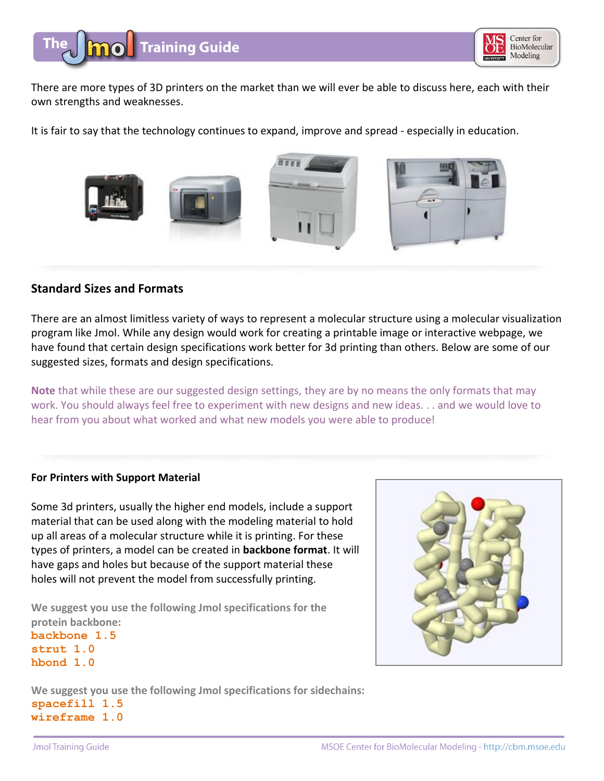



There are more types of 3D printers on the market than we will ever be able to discuss here, each with their own strengths and weaknesses.

It is fair to say that the technology continues to expand, improve and spread - especially in education.









## **Standard Sizes and Formats**

There are an almost limitless variety of ways to represent a molecular structure using a molecular visualization program like Jmol. While any design would work for creating a printable image or interactive webpage, we have found that certain design specifications work better for 3d printing than others. Below are some of our suggested sizes, formats and design specifications.

**Note** that while these are our suggested design settings, they are by no means the only formats that may work. You should always feel free to experiment with new designs and new ideas. . . and we would love to hear from you about what worked and what new models you were able to produce!

### **For Printers with Support Material**

Some 3d printers, usually the higher end models, include a support material that can be used along with the modeling material to hold up all areas of a molecular structure while it is printing. For these types of printers, a model can be created in **backbone format**. It will have gaps and holes but because of the support material these holes will not prevent the model from successfully printing.

**We suggest you use the following Jmol specifications for the protein backbone: backbone 1.5 strut 1.0 hbond 1.0** 



**We suggest you use the following Jmol specifications for sidechains: spacefill 1.5 wireframe 1.0**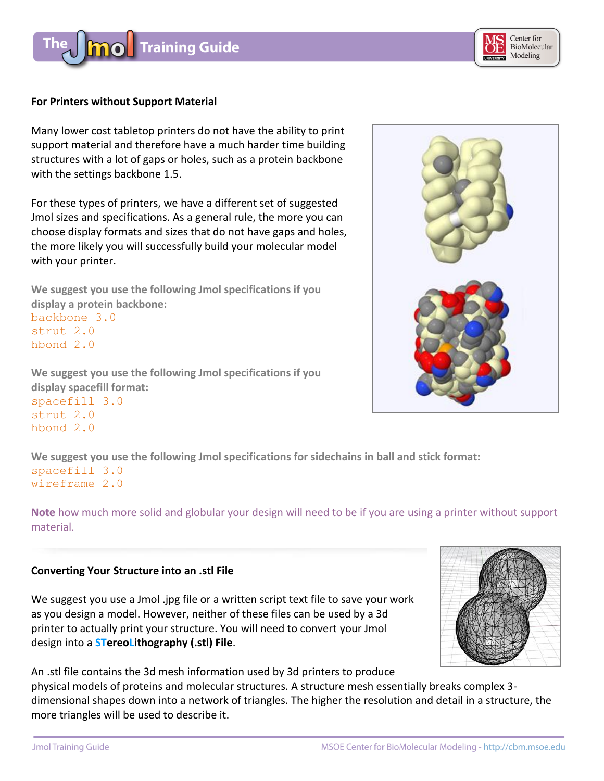



#### **For Printers without Support Material**

Many lower cost tabletop printers do not have the ability to print support material and therefore have a much harder time building structures with a lot of gaps or holes, such as a protein backbone with the settings backbone 1.5.

For these types of printers, we have a different set of suggested Jmol sizes and specifications. As a general rule, the more you can choose display formats and sizes that do not have gaps and holes, the more likely you will successfully build your molecular model with your printer.

**We suggest you use the following Jmol specifications if you display a protein backbone:**

backbone 3.0 strut 2.0 hbond 2.0

**We suggest you use the following Jmol specifications if you display spacefill format:** spacefill 3.0 strut 2.0 hbond 2.0



**We suggest you use the following Jmol specifications for sidechains in ball and stick format:** spacefill 3.0 wireframe 2.0

**Note** how much more solid and globular your design will need to be if you are using a printer without support material.

#### **Converting Your Structure into an .stl File**

We suggest you use a Jmol .jpg file or a written script text file to save your work as you design a model. However, neither of these files can be used by a 3d printer to actually print your structure. You will need to convert your Jmol design into a **STereoLithography (.stl) File**.



An .stl file contains the 3d mesh information used by 3d printers to produce physical models of proteins and molecular structures. A structure mesh essentially breaks complex 3 dimensional shapes down into a network of triangles. The higher the resolution and detail in a structure, the more triangles will be used to describe it.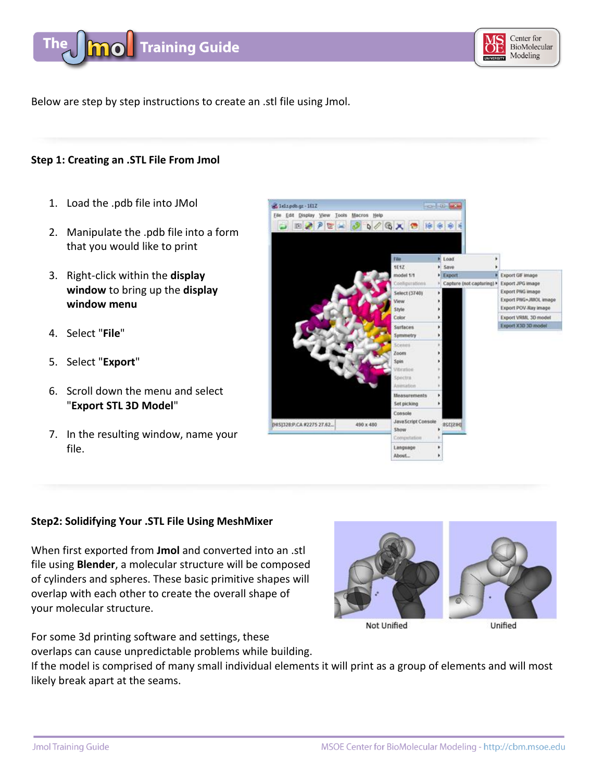



Below are step by step instructions to create an .stl file using Jmol.

#### **Step 1: Creating an .STL File From Jmol**

- 1. Load the .pdb file into JMol
- 2. Manipulate the .pdb file into a form that you would like to print
- 3. Right-click within the **display window** to bring up the **display window menu**
- 4. Select "**File**"
- 5. Select "**Export**"
- 6. Scroll down the menu and select "**Export STL 3D Model**"
- 7. In the resulting window, name your file.



#### **Step2: Solidifying Your .STL File Using MeshMixer**

For some 3d printing software and settings, these

When first exported from **Jmol** and converted into an .stl file using **Blender**, a molecular structure will be composed of cylinders and spheres. These basic primitive shapes will overlap with each other to create the overall shape of your molecular structure.





**Not Unified** 

Unified

overlaps can cause unpredictable problems while building. If the model is comprised of many small individual elements it will print as a group of elements and will most likely break apart at the seams.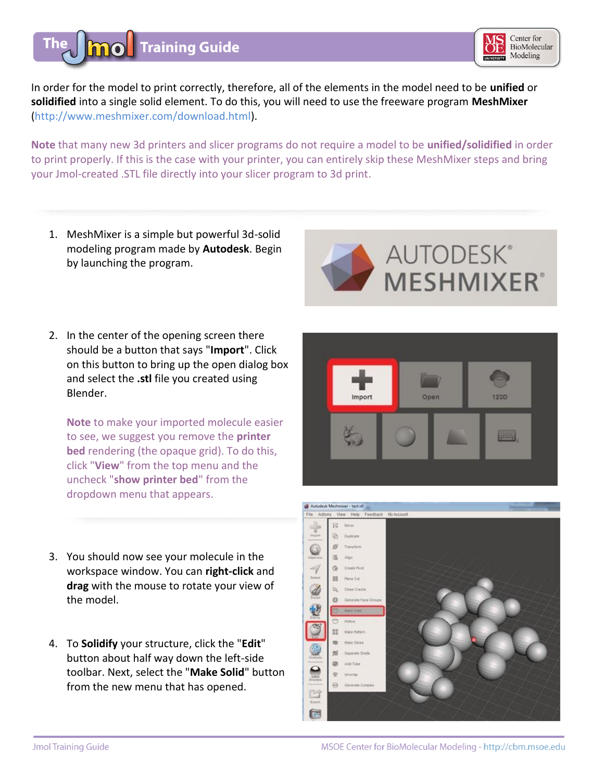



In order for the model to print correctly, therefore, all of the elements in the model need to be **unified** or **solidified** into a single solid element. To do this, you will need to use the freeware program **MeshMixer** [\(http://www.meshmixer.com/download.html\)](http://www.meshmixer.com/download.html).

**Note** that many new 3d printers and slicer programs do not require a model to be **unified/solidified** in order to print properly. If this is the case with your printer, you can entirely skip these MeshMixer steps and bring your Jmol-created .STL file directly into your slicer program to 3d print.

1. MeshMixer is a simple but powerful 3d-solid modeling program made by **Autodesk**. Begin by launching the program.



2. In the center of the opening screen there should be a button that says "**Import**". Click on this button to bring up the open dialog box and select the **.stl** file you created using Blender.

**Note** to make your imported molecule easier to see, we suggest you remove the **printer bed** rendering (the opaque grid). To do this, click "**View**" from the top menu and the uncheck "**show printer bed**" from the dropdown menu that appears.

- 3. You should now see your molecule in the workspace window. You can **right-click** and **drag** with the mouse to rotate your view of the model.
- 4. To **Solidify** your structure, click the "**Edit**" button about half way down the left-side toolbar. Next, select the "**Make Solid**" button from the new menu that has opened.